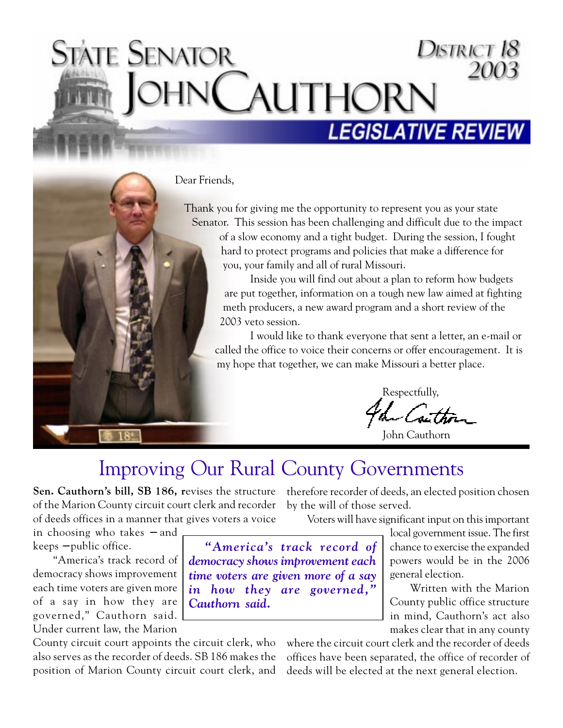# District 18 State Senator **AUTHORN LEGISLATIVE REVIE**

#### Dear Friends,

Thank you for giving me the opportunity to represent you as your state Senator. This session has been challenging and difficult due to the impact of a slow economy and a tight budget. During the session, I fought hard to protect programs and policies that make a difference for you, your family and all of rural Missouri.

> Inside you will find out about a plan to reform how budgets are put together, information on a tough new law aimed at fighting meth producers, a new award program and a short review of the 2003 veto session.

I would like to thank everyone that sent a letter, an e-mail or called the office to voice their concerns or offer encouragement. It is my hope that together, we can make Missouri a better place.

Respectfully, -Coi

John Cauthorn

### Improving Our Rural County Governments

**Sen. Cauthorn's bill, SB 186, r**evises the structure therefore recorder of deeds, an elected position chosen of the Marion County circuit court clerk and recorder by the will of those served. of deeds offices in a manner that gives voters a voice

Voters will have significant input on this important

in choosing who takes − and keeps − public office.

"America's track record of democracy shows improvement each time voters are given more of a say in how they are governed," Cauthorn said. Under current law, the Marion

County circuit court appoints the circuit clerk, who also serves as the recorder of deeds. SB 186 makes the position of Marion County circuit court clerk, and

*"America's track record of democracy shows improvement each time voters are given more of a say in how they are governed," Cauthorn said.*

local government issue. The first chance to exercise the expanded powers would be in the 2006 general election.

Written with the Marion County public office structure in mind, Cauthorn's act also makes clear that in any county

where the circuit court clerk and the recorder of deeds offices have been separated, the office of recorder of deeds will be elected at the next general election.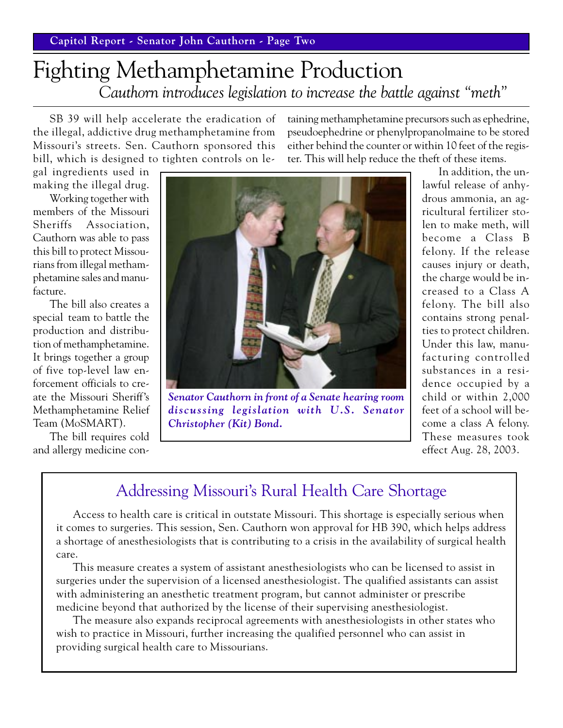# Fighting Methamphetamine Production *Cauthorn introduces legislation to increase the battle against "meth"*

SB 39 will help accelerate the eradication of the illegal, addictive drug methamphetamine from Missouri's streets. Sen. Cauthorn sponsored this bill, which is designed to tighten controls on letaining methamphetamine precursors such as ephedrine, pseudoephedrine or phenylpropanolmaine to be stored either behind the counter or within 10 feet of the register. This will help reduce the theft of these items.

gal ingredients used in making the illegal drug.

Working together with members of the Missouri Sheriffs Association, Cauthorn was able to pass this bill to protect Missourians from illegal methamphetamine sales and manufacture.

The bill also creates a special team to battle the production and distribution of methamphetamine. It brings together a group of five top-level law enforcement officials to create the Missouri Sheriff's Methamphetamine Relief Team (MoSMART).

The bill requires cold and allergy medicine con-



*Senator Cauthorn in front of a Senate hearing room discussing legislation with U.S. Senator Christopher (Kit) Bond.*

In addition, the unlawful release of anhydrous ammonia, an agricultural fertilizer stolen to make meth, will become a Class B felony. If the release causes injury or death, the charge would be increased to a Class A felony. The bill also contains strong penalties to protect children. Under this law, manufacturing controlled substances in a residence occupied by a child or within 2,000 feet of a school will become a class A felony. These measures took effect Aug. 28, 2003.

### Addressing Missouri's Rural Health Care Shortage

Access to health care is critical in outstate Missouri. This shortage is especially serious when it comes to surgeries. This session, Sen. Cauthorn won approval for HB 390, which helps address a shortage of anesthesiologists that is contributing to a crisis in the availability of surgical health care.

This measure creates a system of assistant anesthesiologists who can be licensed to assist in surgeries under the supervision of a licensed anesthesiologist. The qualified assistants can assist with administering an anesthetic treatment program, but cannot administer or prescribe medicine beyond that authorized by the license of their supervising anesthesiologist.

The measure also expands reciprocal agreements with anesthesiologists in other states who wish to practice in Missouri, further increasing the qualified personnel who can assist in providing surgical health care to Missourians.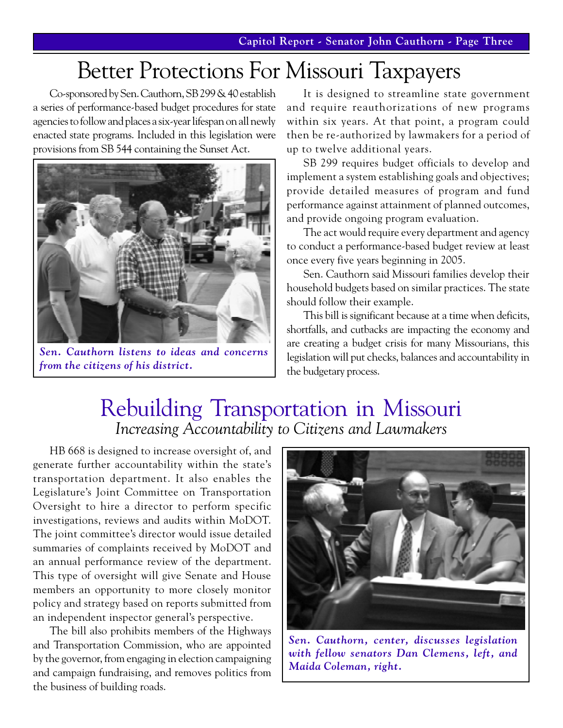# Better Protections For Missouri Taxpayers

Co-sponsored by Sen. Cauthorn, SB 299 & 40 establish a series of performance-based budget procedures for state agencies to follow and places a six-year lifespan on all newly enacted state programs. Included in this legislation were provisions from SB 544 containing the Sunset Act.



*Sen. Cauthorn listens to ideas and concerns from the citizens of his district.*

It is designed to streamline state government and require reauthorizations of new programs within six years. At that point, a program could then be re-authorized by lawmakers for a period of up to twelve additional years.

SB 299 requires budget officials to develop and implement a system establishing goals and objectives; provide detailed measures of program and fund performance against attainment of planned outcomes, and provide ongoing program evaluation.

The act would require every department and agency to conduct a performance-based budget review at least once every five years beginning in 2005.

Sen. Cauthorn said Missouri families develop their household budgets based on similar practices. The state should follow their example.

This bill is significant because at a time when deficits, shortfalls, and cutbacks are impacting the economy and are creating a budget crisis for many Missourians, this legislation will put checks, balances and accountability in the budgetary process.

## Rebuilding Transportation in Missouri *Increasing Accountability to Citizens and Lawmakers*

HB 668 is designed to increase oversight of, and generate further accountability within the state's transportation department. It also enables the Legislature's Joint Committee on Transportation Oversight to hire a director to perform specific investigations, reviews and audits within MoDOT. The joint committee's director would issue detailed summaries of complaints received by MoDOT and an annual performance review of the department. This type of oversight will give Senate and House members an opportunity to more closely monitor policy and strategy based on reports submitted from an independent inspector general's perspective.

The bill also prohibits members of the Highways and Transportation Commission, who are appointed by the governor, from engaging in election campaigning and campaign fundraising, and removes politics from the business of building roads.



*Sen. Cauthorn, center, discusses legislation with fellow senators Dan Clemens, left, and Maida Coleman, right.*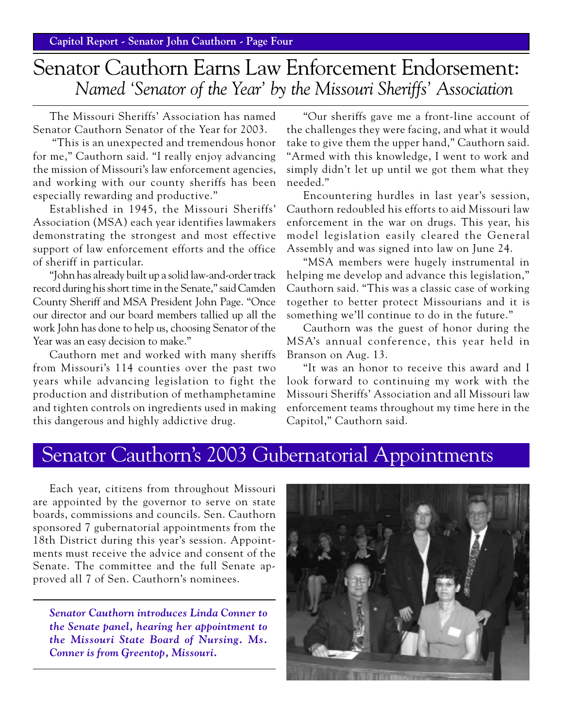# Senator Cauthorn Earns Law Enforcement Endorsement:  *Named 'Senator of the Year' by the Missouri Sheriffs' Association*

The Missouri Sheriffs' Association has named Senator Cauthorn Senator of the Year for 2003.

 "This is an unexpected and tremendous honor for me," Cauthorn said. "I really enjoy advancing the mission of Missouri's law enforcement agencies, and working with our county sheriffs has been especially rewarding and productive."

Established in 1945, the Missouri Sheriffs' Association (MSA) each year identifies lawmakers demonstrating the strongest and most effective support of law enforcement efforts and the office of sheriff in particular.

"John has already built up a solid law-and-order track record during his short time in the Senate," said Camden County Sheriff and MSA President John Page. "Once our director and our board members tallied up all the work John has done to help us, choosing Senator of the Year was an easy decision to make."

Cauthorn met and worked with many sheriffs from Missouri's 114 counties over the past two years while advancing legislation to fight the production and distribution of methamphetamine and tighten controls on ingredients used in making this dangerous and highly addictive drug.

"Our sheriffs gave me a front-line account of the challenges they were facing, and what it would take to give them the upper hand," Cauthorn said. "Armed with this knowledge, I went to work and simply didn't let up until we got them what they needed."

Encountering hurdles in last year's session, Cauthorn redoubled his efforts to aid Missouri law enforcement in the war on drugs. This year, his model legislation easily cleared the General Assembly and was signed into law on June 24.

"MSA members were hugely instrumental in helping me develop and advance this legislation," Cauthorn said. "This was a classic case of working together to better protect Missourians and it is something we'll continue to do in the future."

Cauthorn was the guest of honor during the MSA's annual conference, this year held in Branson on Aug. 13.

"It was an honor to receive this award and I look forward to continuing my work with the Missouri Sheriffs' Association and all Missouri law enforcement teams throughout my time here in the Capitol," Cauthorn said.

### Senator Cauthorn's 2003 Gubernatorial Appointments

Each year, citizens from throughout Missouri are appointed by the governor to serve on state boards, commissions and councils. Sen. Cauthorn sponsored 7 gubernatorial appointments from the 18th District during this year's session. Appointments must receive the advice and consent of the Senate. The committee and the full Senate approved all 7 of Sen. Cauthorn's nominees.

*Senator Cauthorn introduces Linda Conner to the Senate panel, hearing her appointment to the Missouri State Board of Nursing. Ms. Conner is from Greentop, Missouri.*

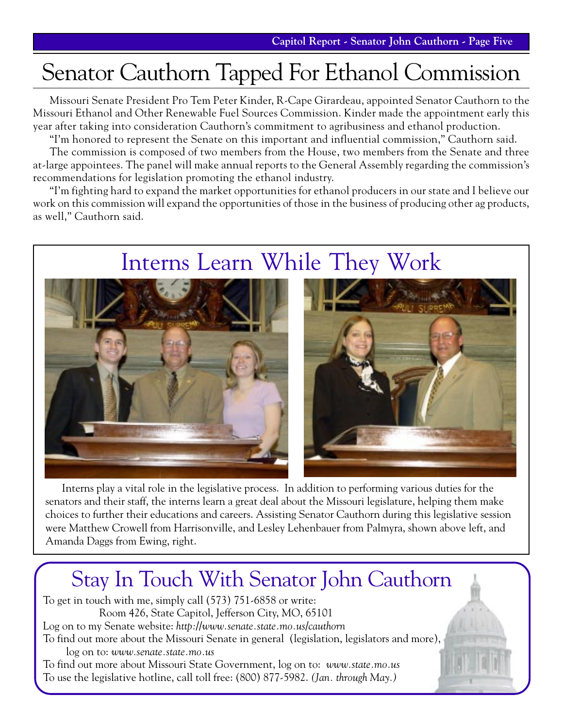# Senator Cauthorn Tapped For Ethanol Commission

Missouri Senate President Pro Tem Peter Kinder, R-Cape Girardeau, appointed Senator Cauthorn to the Missouri Ethanol and Other Renewable Fuel Sources Commission. Kinder made the appointment early this year after taking into consideration Cauthorn's commitment to agribusiness and ethanol production.

"I'm honored to represent the Senate on this important and influential commission," Cauthorn said.

The commission is composed of two members from the House, two members from the Senate and three at-large appointees. The panel will make annual reports to the General Assembly regarding the commission's recommendations for legislation promoting the ethanol industry.

"I'm fighting hard to expand the market opportunities for ethanol producers in our state and I believe our work on this commission will expand the opportunities of those in the business of producing other ag products, as well," Cauthorn said.

# Interns Learn While They Work





Interns play a vital role in the legislative process. In addition to performing various duties for the senators and their staff, the interns learn a great deal about the Missouri legislature, helping them make choices to further their educations and careers. Assisting Senator Cauthorn during this legislative session were Matthew Crowell from Harrisonville, and Lesley Lehenbauer from Palmyra, shown above left, and Amanda Daggs from Ewing, right.

# Stay In Touch With Senator John Cauthorn

To get in touch with me, simply call (573) 751-6858 or write: Room 426, State Capitol, Jefferson City, MO, 65101 Log on to my Senate website: *http://www.senate.state.mo.us/cauthorn* To find out more about the Missouri Senate in general (legislation, legislators and more), log on to: *www.senate.state.mo.us* To find out more about Missouri State Government, log on to: *www.state.mo.us* To use the legislative hotline, call toll free: (800) 877-5982. *(Jan. through May.)*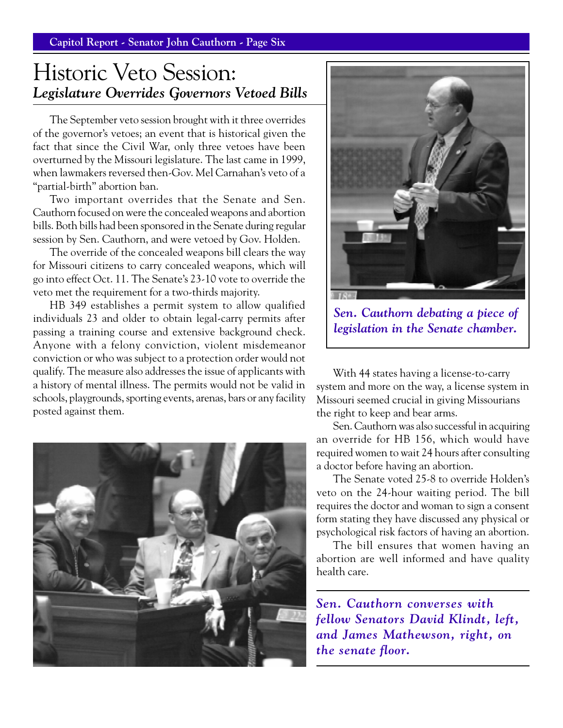**Capitol Report - Senator John Cauthorn - Page Six**

### Historic Veto Session: *Legislature Overrides Governors Vetoed Bills*

The September veto session brought with it three overrides of the governor's vetoes; an event that is historical given the fact that since the Civil War, only three vetoes have been overturned by the Missouri legislature. The last came in 1999, when lawmakers reversed then-Gov. Mel Carnahan's veto of a "partial-birth" abortion ban.

Two important overrides that the Senate and Sen. Cauthorn focused on were the concealed weapons and abortion bills. Both bills had been sponsored in the Senate during regular session by Sen. Cauthorn, and were vetoed by Gov. Holden.

The override of the concealed weapons bill clears the way for Missouri citizens to carry concealed weapons, which will go into effect Oct. 11. The Senate's 23-10 vote to override the veto met the requirement for a two-thirds majority.

HB 349 establishes a permit system to allow qualified individuals 23 and older to obtain legal-carry permits after passing a training course and extensive background check. Anyone with a felony conviction, violent misdemeanor conviction or who was subject to a protection order would not qualify. The measure also addresses the issue of applicants with a history of mental illness. The permits would not be valid in schools, playgrounds, sporting events, arenas, bars or any facility posted against them.





*Sen. Cauthorn debating a piece of legislation in the Senate chamber.*

With 44 states having a license-to-carry system and more on the way, a license system in Missouri seemed crucial in giving Missourians the right to keep and bear arms.

Sen. Cauthorn was also successful in acquiring an override for HB 156, which would have required women to wait 24 hours after consulting a doctor before having an abortion.

The Senate voted 25-8 to override Holden's veto on the 24-hour waiting period. The bill requires the doctor and woman to sign a consent form stating they have discussed any physical or psychological risk factors of having an abortion.

The bill ensures that women having an abortion are well informed and have quality health care.

*Sen. Cauthorn converses with fellow Senators David Klindt, left, and James Mathewson, right, on the senate floor.*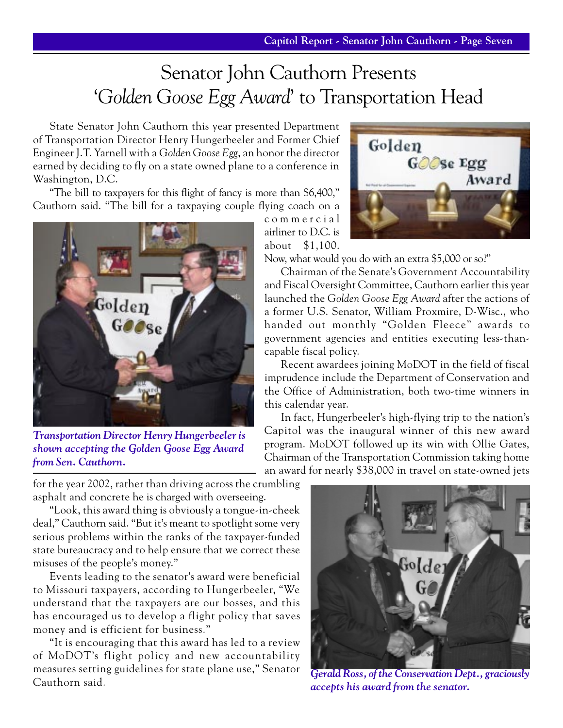# Senator John Cauthorn Presents '*Golden Goose Egg Award*' to Transportation Head

State Senator John Cauthorn this year presented Department of Transportation Director Henry Hungerbeeler and Former Chief Engineer J.T. Yarnell with a *Golden Goose Egg*, an honor the director earned by deciding to fly on a state owned plane to a conference in Washington, D.C.

"The bill to taxpayers for this flight of fancy is more than \$6,400," Cauthorn said. "The bill for a taxpaying couple flying coach on a



*Transportation Director Henry Hungerbeeler is shown accepting the Golden Goose Egg Award from Sen. Cauthorn.*

for the year 2002, rather than driving across the crumbling asphalt and concrete he is charged with overseeing.

"Look, this award thing is obviously a tongue-in-cheek deal," Cauthorn said. "But it's meant to spotlight some very serious problems within the ranks of the taxpayer-funded state bureaucracy and to help ensure that we correct these misuses of the people's money."

Events leading to the senator's award were beneficial to Missouri taxpayers, according to Hungerbeeler, "We understand that the taxpayers are our bosses, and this has encouraged us to develop a flight policy that saves money and is efficient for business."

"It is encouraging that this award has led to a review of MoDOT's flight policy and new accountability measures setting guidelines for state plane use," Senator Cauthorn said.



commercial airliner to D.C. is about \$1,100.

Now, what would you do with an extra \$5,000 or so?"

Chairman of the Senate's Government Accountability and Fiscal Oversight Committee, Cauthorn earlier this year launched the *Golden Goose Egg Award* after the actions of a former U.S. Senator, William Proxmire, D-Wisc., who handed out monthly "Golden Fleece" awards to government agencies and entities executing less-thancapable fiscal policy.

Recent awardees joining MoDOT in the field of fiscal imprudence include the Department of Conservation and the Office of Administration, both two-time winners in this calendar year.

In fact, Hungerbeeler's high-flying trip to the nation's Capitol was the inaugural winner of this new award program. MoDOT followed up its win with Ollie Gates, Chairman of the Transportation Commission taking home an award for nearly \$38,000 in travel on state-owned jets



*Gerald Ross, of the Conservation Dept., graciously accepts his award from the senator.*